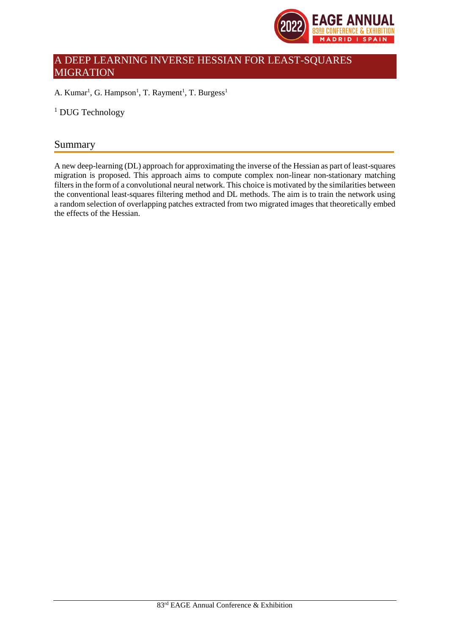

# A DEEP LEARNING INVERSE HESSIAN FOR LEAST-SQUARES MIGRATION

A. Kumar<sup>1</sup>, G. Hampson<sup>1</sup>, T. Rayment<sup>1</sup>, T. Burgess<sup>1</sup>

<sup>1</sup> DUG Technology

## Summary

A new deep-learning (DL) approach for approximating the inverse of the Hessian as part of least-squares migration is proposed. This approach aims to compute complex non-linear non-stationary matching filters in the form of a convolutional neural network. This choice is motivated by the similarities between the conventional least-squares filtering method and DL methods. The aim is to train the network using a random selection of overlapping patches extracted from two migrated images that theoretically embed the effects of the Hessian.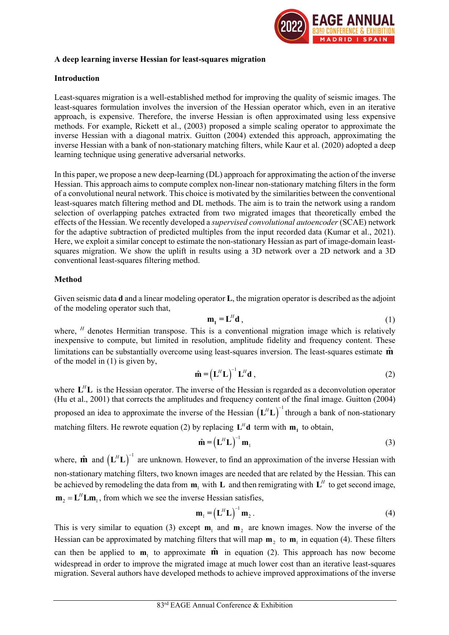

#### A deep learning inverse Hessian for least-squares migration

#### Introduction

Least-squares migration is a well-established method for improving the quality of seismic images. The least-squares formulation involves the inversion of the Hessian operator which, even in an iterative approach, is expensive. Therefore, the inverse Hessian is often approximated using less expensive methods. For example, Rickett et al., (2003) proposed a simple scaling operator to approximate the inverse Hessian with a diagonal matrix. Guitton (2004) extended this approach, approximating the inverse Hessian with a bank of non-stationary matching filters, while Kaur et al. (2020) adopted a deep learning technique using generative adversarial networks.

In this paper, we propose a new deep-learning (DL) approach for approximating the action of the inverse Hessian. This approach aims to compute complex non-linear non-stationary matching filters in the form of a convolutional neural network. This choice is motivated by the similarities between the conventional least-squares match filtering method and DL methods. The aim is to train the network using a random selection of overlapping patches extracted from two migrated images that theoretically embed the effects of the Hessian. We recently developed a supervised convolutional autoencoder (SCAE) network for the adaptive subtraction of predicted multiples from the input recorded data (Kumar et al., 2021). Here, we exploit a similar concept to estimate the non-stationary Hessian as part of image-domain leastsquares migration. We show the uplift in results using a 3D network over a 2D network and a 3D conventional least-squares filtering method.  $D\omega$ , and the formulation and action of a metalline at a<br>cx non-linear non-stationary matching filters in the form<br>is motivated by the similarities between the conventional<br>is motivated by the similarities between the co solution of the interplane particles vantation of predictal multivary and uncertainty interventional different of proposition. The dady is the Hessian in the interpret oscillate the intervention of predictal multiples fro

### Method

Given seismic data d and a linear modeling operator L, the migration operator is described as the adjoint of the modeling operator such that,

$$
\mathbf{m}_1 = \mathbf{L}^H \mathbf{d} \,,\tag{1}
$$

where,  $H$  denotes Hermitian transpose. This is a conventional migration image which is relatively inexpensive to compute, but limited in resolution, amplitude fidelity and frequency content. These limitations can be substantially overcome using least-squares inversion. The least-squares estimate  $\hat{m}$ of the model in (1) is given by,

$$
\hat{\mathbf{m}} = \left(\mathbf{L}^H \mathbf{L}\right)^{-1} \mathbf{L}^H \mathbf{d} \,,\tag{2}
$$

where  $L<sup>H</sup>L$  is the Hessian operator. The inverse of the Hessian is regarded as a deconvolution operator (Hu et al., 2001) that corrects the amplitudes and frequency content of the final image. Guitton (2004)  ${\bf L}^H{\bf L}$ <sup>-1</sup> through a bank of non-stationary matching filters. He rewrote equation (2) by replacing  $\mathbf{L}^H \mathbf{d}$  term with  $\mathbf{m}_1$  to obtain, 21.1 is using a 3D network over a 2D network and a 3D<br>that is using a 3D network over a 2D network and a 3D<br>dator **L**, the migration operator is described as the adjoint<br> $I_1 = L'' d$ , (1)<br>is a conventional migration image wh

$$
\hat{\mathbf{m}} = \left(\mathbf{L}^H \mathbf{L}\right)^{-1} \mathbf{m}_1 \tag{3}
$$

Method<br>
Given seismic data **d** and a linear modeling operator **L**, the migration operator is described as the<br>
of the modeling operator such that,<br>  $m_1 = L^n d$ ,<br>
where, <sup>H</sup> denotes Hermitian transpose. This is a conventiona  ${\bf L}^H{\bf L}$ )<sup>-1</sup> are unknown. However, to find an approximation of the inverse Hessian with non-stationary matching filters, two known images are needed that are related by the Hessian. This can be achieved by remodeling the data from  $m_1$  with L and then remigrating with  $L^H$  to get second image,  $\mathbf{m}_2 = \mathbf{L}^H \mathbf{L} \mathbf{m}_1$ , from which we see the inverse Hessian satisfies,  $I_1 = L'' d$ ,<br>
is a conventional migration image which is relatively<br>
ion, amplitude fidelity and frequency content. These<br>
least-squares inversion. The least-squares estimate  $\hat{\mathbf{m}}$ <br>  $L'' L)^{-1} L'' d$ ,<br>
(2)<br>
c of the Hessian

$$
\mathbf{m}_1 = \left(\mathbf{L}^H \mathbf{L}\right)^{-1} \mathbf{m}_2. \tag{4}
$$

This is very similar to equation (3) except  $m_1$  and  $m_2$  are known images. Now the inverse of the Hessian can be approximated by matching filters that will map  $m_2$  to  $m_1$  in equation (4). These filters can then be applied to  $m_1$  to approximate  $\hat{m}$  in equation (2). This approach has now become widespread in order to improve the migrated image at much lower cost than an iterative least-squares migration. Several authors have developed methods to achieve improved approximations of the inverse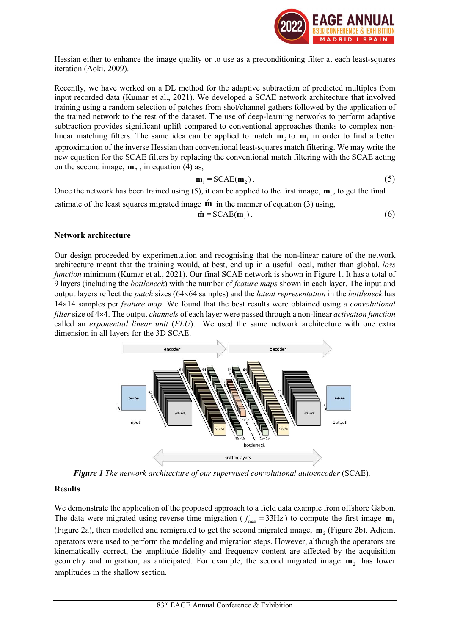

Hessian either to enhance the image quality or to use as a preconditioning filter at each least-squares iteration (Aoki, 2009).

Recently, we have worked on a DL method for the adaptive subtraction of predicted multiples from input recorded data (Kumar et al., 2021). We developed a SCAE network architecture that involved training using a random selection of patches from shot/channel gathers followed by the application of the trained network to the rest of the dataset. The use of deep-learning networks to perform adaptive subtraction provides significant uplift compared to conventional approaches thanks to complex nonlinear matching filters. The same idea can be applied to match  $m_2$  to  $m_1$  in order to find a better approximation of the inverse Hessian than conventional least-squares match filtering. We may write the new equation for the SCAE filters by replacing the conventional match filtering with the SCAE acting on the second image,  $m_2$ , in equation (4) as,

$$
\mathbf{m}_1 = \text{SCAE}(\mathbf{m}_2). \tag{5}
$$

Once the network has been trained using  $(5)$ , it can be applied to the first image,  $\mathbf{m}_1$ , to get the final estimate of the least squares migrated image  $\hat{\mathbf{m}}$  in the manner of equation (3) using,

$$
\hat{\mathbf{m}} = \text{SCAE}(\mathbf{m}_1). \tag{6}
$$

#### Network architecture

Our design proceeded by experimentation and recognising that the non-linear nature of the network architecture meant that the training would, at best, end up in a useful local, rather than global, loss function minimum (Kumar et al., 2021). Our final SCAE network is shown in Figure 1. It has a total of 9 layers (including the bottleneck) with the number of feature maps shown in each layer. The input and output layers reflect the *patch* sizes (64×64 samples) and the *latent representation* in the *bottleneck* has  $14\times14$  samples per *feature map*. We found that the best results were obtained using a *convolutional* filter size of 4×4. The output channels of each layer were passed through a non-linear activation function called an exponential linear unit (ELU). We used the same network architecture with one extra dimension in all layers for the 3D SCAE.



Figure 1 The network architecture of our supervised convolutional autoencoder (SCAE).

#### Results

We demonstrate the application of the proposed approach to a field data example from offshore Gabon. The data were migrated using reverse time migration ( $f_{\text{max}} = 33\text{Hz}$ ) to compute the first image  $\mathbf{m}_1$ (Figure 2a), then modelled and remigrated to get the second migrated image,  $m_2$  (Figure 2b). Adjoint operators were used to perform the modeling and migration steps. However, although the operators are kinematically correct, the amplitude fidelity and frequency content are affected by the acquisition geometry and migration, as anticipated. For example, the second migrated image  $m_2$  has lower amplitudes in the shallow section.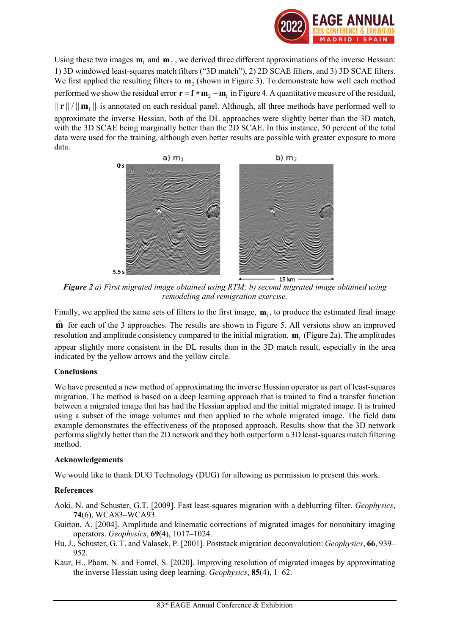

Using these two images  $m_1$  and  $m_2$ , we derived three different approximations of the inverse Hessian: 1) 3D windowed least-squares match filters ("3D match"), 2) 2D SCAE filters, and 3) 3D SCAE filters. We first applied the resulting filters to  $m_2$  (shown in Figure 3). To demonstrate how well each method performed we show the residual error  $\mathbf{r} = \mathbf{f} * \mathbf{m}_2 - \mathbf{m}_1$  in Figure 4. A quantitative measure of the residual,  $\|\mathbf{r}\|/\|\mathbf{m}_1\|$  is annotated on each residual panel. Although, all three methods have performed well to approximate the inverse Hessian, both of the DL approaches were slightly better than the 3D match, with the 3D SCAE being marginally better than the 2D SCAE. In this instance, 50 percent of the total data were used for the training, although even better results are possible with greater exposure to more data.



Figure 2 a) First migrated image obtained using RTM; b) second migrated image obtained using remodeling and remigration exercise.

Finally, we applied the same sets of filters to the first image,  $m_1$ , to produce the estimated final image  $\hat{m}$  for each of the 3 approaches. The results are shown in Figure 5. All versions show an improved

resolution and amplitude consistency compared to the initial migration,  $m<sub>1</sub>$  (Figure 2a). The amplitudes appear slightly more consistent in the DL results than in the 3D match result, especially in the area indicated by the yellow arrows and the yellow circle.

## Conclusions

We have presented a new method of approximating the inverse Hessian operator as part of least-squares migration. The method is based on a deep learning approach that is trained to find a transfer function between a migrated image that has had the Hessian applied and the initial migrated image. It is trained using a subset of the image volumes and then applied to the whole migrated image. The field data example demonstrates the effectiveness of the proposed approach. Results show that the 3D network performs slightly better than the 2D network and they both outperform a 3D least-squares match filtering method.

## Acknowledgements

We would like to thank DUG Technology (DUG) for allowing us permission to present this work.

## References

Aoki, N. and Schuster, G.T. [2009]. Fast least-squares migration with a deblurring filter. Geophysics, 74(6), WCA83–WCA93.

- Guitton, A. [2004]. Amplitude and kinematic corrections of migrated images for nonunitary imaging operators. Geophysics, 69(4), 1017–1024.
- Hu, J., Schuster, G. T. and Valasek, P. [2001]. Poststack migration deconvolution: Geophysics, 66, 939– 952.
- Kaur, H., Pham, N. and Fomel, S. [2020]. Improving resolution of migrated images by approximating the inverse Hessian using deep learning. Geophysics, 85(4), 1–62.